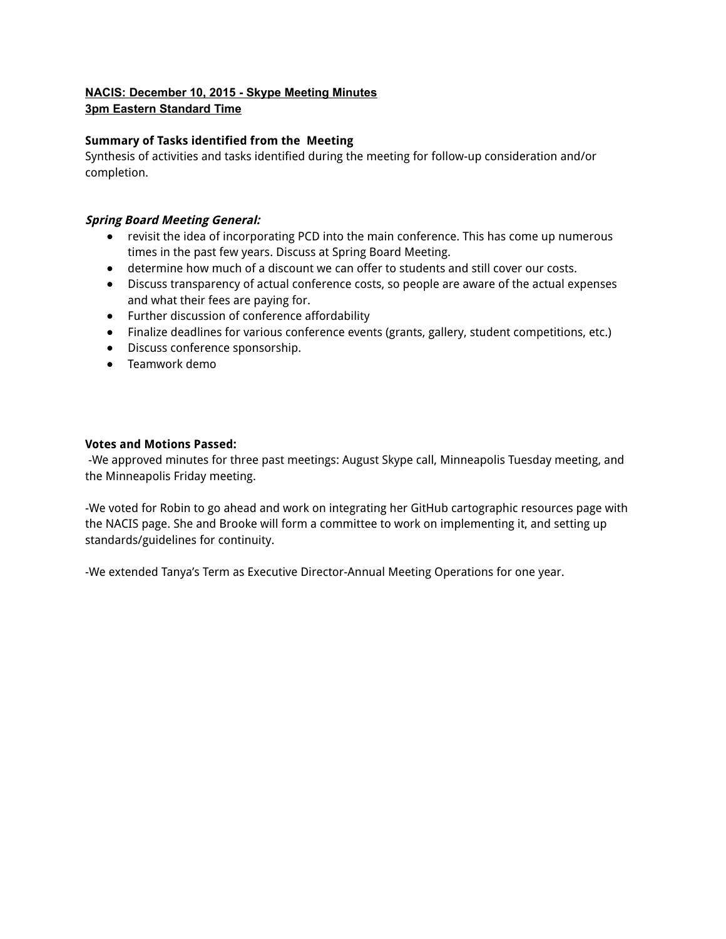# **NACIS: December 10, 2015 Skype Meeting Minutes**

#### **3pm Eastern Standard Time**

#### **Summary of Tasks identified from the Meeting**

Synthesis of activities and tasks identified during the meeting for follow-up consideration and/or completion.

#### **Spring Board Meeting General:**

- revisit the idea of incorporating PCD into the main conference. This has come up numerous times in the past few years. Discuss at Spring Board Meeting.
- determine how much of a discount we can offer to students and still cover our costs.
- Discuss transparency of actual conference costs, so people are aware of the actual expenses and what their fees are paying for.
- Further discussion of conference affordability
- Finalize deadlines for various conference events (grants, gallery, student competitions, etc.)
- Discuss conference sponsorship.
- Teamwork demo

#### **Votes and Motions Passed:**

-We approved minutes for three past meetings: August Skype call, Minneapolis Tuesday meeting, and the Minneapolis Friday meeting.

-We voted for Robin to go ahead and work on integrating her GitHub cartographic resources page with the NACIS page. She and Brooke will form a committee to work on implementing it, and setting up standards/guidelines for continuity.

-We extended Tanya's Term as Executive Director-Annual Meeting Operations for one year.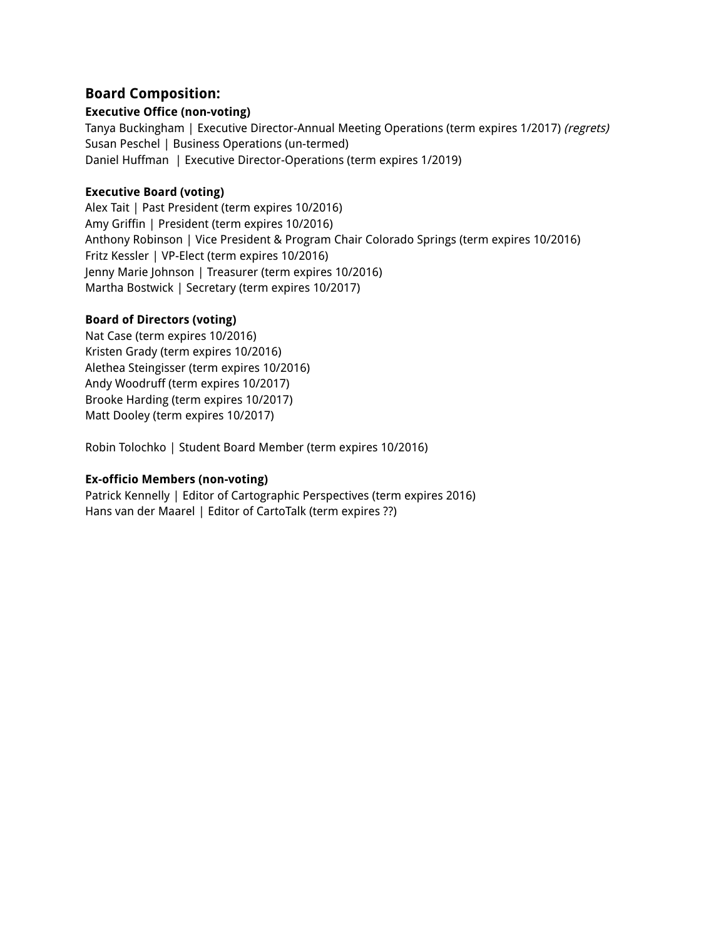# **Board Composition:**

### **Executive Office (non-voting)**

Tanya Buckingham | Executive Director-Annual Meeting Operations (term expires 1/2017) (regrets) Susan Peschel | Business Operations (un-termed) Daniel Huffman | Executive Director-Operations (term expires 1/2019)

### **Executive Board (voting)**

Alex Tait | Past President (term expires 10/2016) Amy Griffin | President (term expires 10/2016) Anthony Robinson | Vice President & Program Chair Colorado Springs (term expires 10/2016) Fritz Kessler | VP-Elect (term expires 10/2016) Jenny Marie Johnson | Treasurer (term expires 10/2016) Martha Bostwick | Secretary (term expires 10/2017)

### **Board of Directors (voting)**

Nat Case (term expires 10/2016) Kristen Grady (term expires 10/2016) Alethea Steingisser (term expires 10/2016) Andy Woodruff (term expires 10/2017) Brooke Harding (term expires 10/2017) Matt Dooley (term expires 10/2017)

Robin Tolochko | Student Board Member (term expires 10/2016)

### **Ex-officio Members (non-voting)**

Patrick Kennelly | Editor of Cartographic Perspectives (term expires 2016) Hans van der Maarel | Editor of CartoTalk (term expires ??)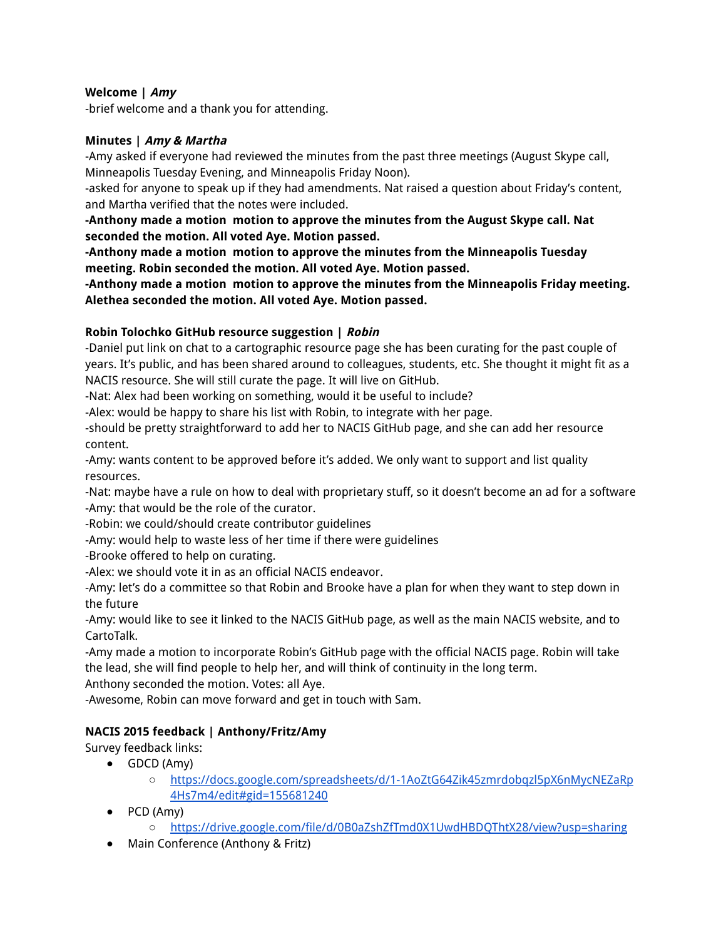#### **Welcome | Amy**

-brief welcome and a thank you for attending.

### **Minutes | Amy & Martha**

-Amy asked if everyone had reviewed the minutes from the past three meetings (August Skype call, Minneapolis Tuesday Evening, and Minneapolis Friday Noon).

-asked for anyone to speak up if they had amendments. Nat raised a question about Friday's content, and Martha verified that the notes were included.

#### **-Anthony made a motion motion to approve the minutes from the August Skype call. Nat seconded the motion. All voted Aye. Motion passed.**

**-Anthony made a motion motion to approve the minutes from the Minneapolis Tuesday meeting. Robin seconded the motion. All voted Aye. Motion passed.**

**-Anthony made a motion motion to approve the minutes from the Minneapolis Friday meeting. Alethea seconded the motion. All voted Aye. Motion passed.**

#### **Robin Tolochko GitHub resource suggestion | Robin**

-Daniel put link on chat to a cartographic resource page she has been curating for the past couple of years. It's public, and has been shared around to colleagues, students, etc. She thought it might fit as a NACIS resource. She will still curate the page. It will live on GitHub.

-Nat: Alex had been working on something, would it be useful to include?

-Alex: would be happy to share his list with Robin, to integrate with her page.

-should be pretty straightforward to add her to NACIS GitHub page, and she can add her resource content.

-Amy: wants content to be approved before it's added. We only want to support and list quality resources.

-Nat: maybe have a rule on how to deal with proprietary stuff, so it doesn't become an ad for a software -Amy: that would be the role of the curator.

-Robin: we could/should create contributor guidelines

-Amy: would help to waste less of her time if there were guidelines

-Brooke offered to help on curating.

-Alex: we should vote it in as an official NACIS endeavor.

-Amy: let's do a committee so that Robin and Brooke have a plan for when they want to step down in the future

-Amy: would like to see it linked to the NACIS GitHub page, as well as the main NACIS website, and to CartoTalk.

-Amy made a motion to incorporate Robin's GitHub page with the official NACIS page. Robin will take the lead, she will find people to help her, and will think of continuity in the long term. Anthony seconded the motion. Votes: all Aye.

-Awesome, Robin can move forward and get in touch with Sam.

### **NACIS 2015 feedback | Anthony/Fritz/Amy**

Survey feedback links:

- GDCD (Amy)
	- https://docs.google.com/spreadsheets/d/1-1AoZtG64Zik45zmrdobqzl5pX6nMycNEZaRp 4Hs7m4/edit#gid=155681240
- PCD (Amy)
	- https://drive.google.com/file/d/0B0aZshZfTmd0X1UwdHBDQThtX28/view?usp=sharing
- Main Conference (Anthony & Fritz)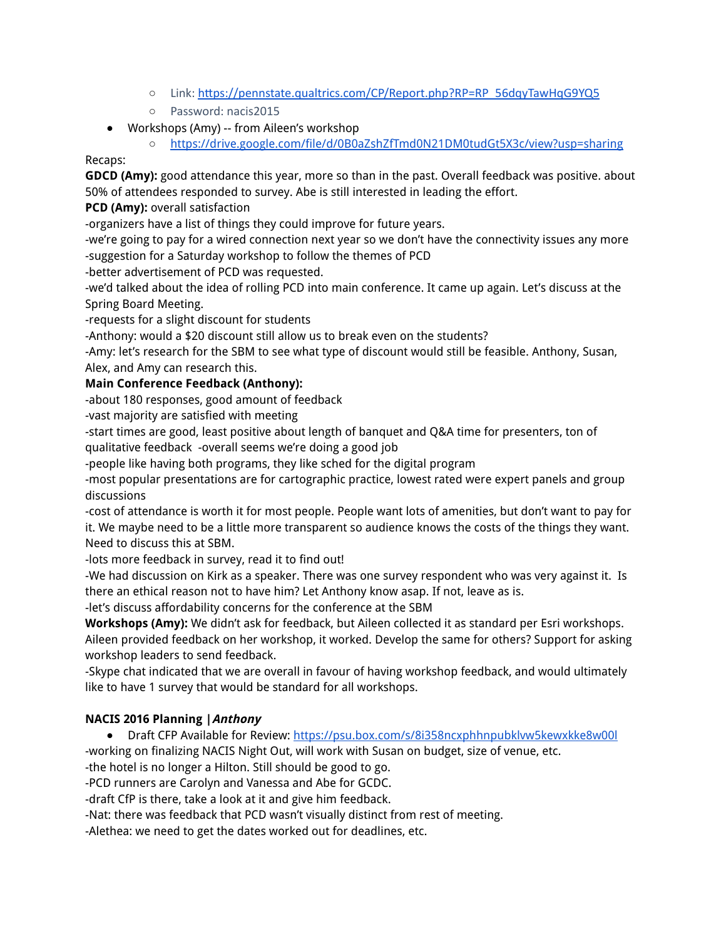- Link: https://pennstate.qualtrics.com/CP/Report.php?RP=RP\_56dqyTawHqG9YQ5
- Password: nacis2015
- Workshops (Amy) -- from Aileen's workshop
	- https://drive.google.com/file/d/0B0aZshZfTmd0N21DM0tudGt5X3c/view?usp=sharing

### Recaps:

**GDCD (Amy):** good attendance this year, more so than in the past. Overall feedback was positive. about 50% of attendees responded to survey. Abe is still interested in leading the effort.

## **PCD (Amy):** overall satisfaction

-organizers have a list of things they could improve for future years.

-we're going to pay for a wired connection next year so we don't have the connectivity issues any more -suggestion for a Saturday workshop to follow the themes of PCD

-better advertisement of PCD was requested.

-we'd talked about the idea of rolling PCD into main conference. It came up again. Let's discuss at the Spring Board Meeting.

-requests for a slight discount for students

-Anthony: would a \$20 discount still allow us to break even on the students?

-Amy: let's research for the SBM to see what type of discount would still be feasible. Anthony, Susan, Alex, and Amy can research this.

## **Main Conference Feedback (Anthony):**

-about 180 responses, good amount of feedback

-vast majority are satisfied with meeting

-start times are good, least positive about length of banquet and Q&A time for presenters, ton of qualitative feedback -overall seems we're doing a good job

-people like having both programs, they like sched for the digital program

-most popular presentations are for cartographic practice, lowest rated were expert panels and group discussions

-cost of attendance is worth it for most people. People want lots of amenities, but don't want to pay for it. We maybe need to be a little more transparent so audience knows the costs of the things they want. Need to discuss this at SBM.

-lots more feedback in survey, read it to find out!

-We had discussion on Kirk as a speaker. There was one survey respondent who was very against it. Is there an ethical reason not to have him? Let Anthony know asap. If not, leave as is.

-let's discuss affordability concerns for the conference at the SBM

**Workshops (Amy):** We didn't ask for feedback, but Aileen collected it as standard per Esri workshops. Aileen provided feedback on her workshop, it worked. Develop the same for others? Support for asking workshop leaders to send feedback.

-Skype chat indicated that we are overall in favour of having workshop feedback, and would ultimately like to have 1 survey that would be standard for all workshops.

# **NACIS 2016 Planning |Anthony**

• Draft CFP Available for Review: https://psu.box.com/s/8i358ncxphhnpubklvw5kewxkke8w00l -working on finalizing NACIS Night Out, will work with Susan on budget, size of venue, etc.

-the hotel is no longer a Hilton. Still should be good to go.

-PCD runners are Carolyn and Vanessa and Abe for GCDC.

-draft CfP is there, take a look at it and give him feedback.

-Nat: there was feedback that PCD wasn't visually distinct from rest of meeting.

-Alethea: we need to get the dates worked out for deadlines, etc.